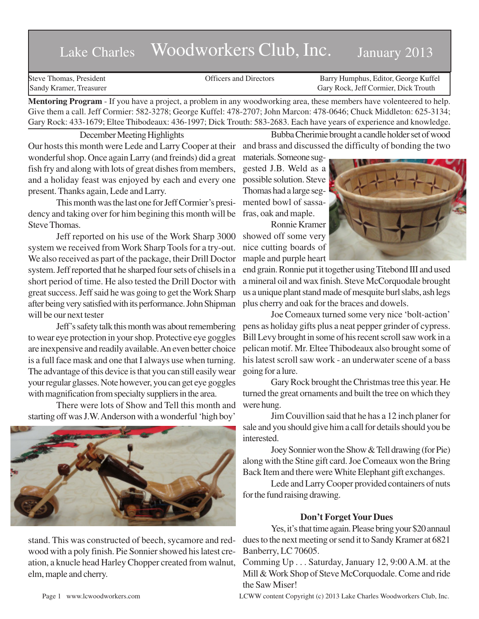# Lake Charles Woodworkers Club, Inc. January 2013

Steve Thomas, President **State Concrete Concrete Concrete Concrete Concrete Concrete Concrete Concrete Concrete Concrete Concrete Concrete Concrete Concrete Concrete Concrete Concrete Concrete Concrete Concrete Concrete Co** Sandy Kramer, Treasurer Gary Rock, Jeff Cormier, Dick Trouth

**Mentoring Program** - If you have a project, a problem in any woodworking area, these members have volenteered to help. Give them a call. Jeff Cormier: 582-3278; George Kuffel: 478-2707; John Marcon: 478-0646; Chuck Middleton: 625-3134; Gary Rock: 433-1679; Eltee Thibodeaux: 436-1997; Dick Trouth: 583-2683. Each have years of experience and knowledge.

December Meeting Highlights

Bubba Cherimie brought a candle holder set of wood and brass and discussed the difficulty of bonding the two

Our hosts this month were Lede and Larry Cooper at their wonderful shop. Once again Larry (and freinds) did a great fish fry and along with lots of great dishes from members, and a holiday feast was enjoyed by each and every one present. Thanks again, Lede and Larry.

This month was the last one for Jeff Cormier's presidency and taking over for him begining this month will be Steve Thomas.

Jeff reported on his use of the Work Sharp 3000 system we received from Work Sharp Tools for a try-out. We also received as part of the package, their Drill Doctor system. Jeff reported that he sharped four sets of chisels in a short period of time. He also tested the Drill Doctor with great success. Jeff said he was going to get the Work Sharp after being very satisfied with its performance. John Shipman will be our next tester

Jeff's safety talk this month was about remembering to wear eye protection in your shop. Protective eye goggles are inexpensive and readily available. An even better choice is a full face mask and one that I always use when turning. The advantage of this device is that you can still easily wear your regular glasses. Note however, you can get eye goggles with magnification from specialty suppliers in the area.

There were lots of Show and Tell this month and starting off was J.W. Anderson with a wonderful 'high boy'



stand. This was constructed of beech, sycamore and redwood with a poly finish. Pie Sonnier showed his latest creation, a knucle head Harley Chopper created from walnut, elm, maple and cherry.

materials. Someone suggested J.B. Weld as a possible solution. Steve Thomas had a large segmented bowl of sassafras, oak and maple.

Ronnie Kramer showed off some very nice cutting boards of maple and purple heart



end grain. Ronnie put it together using Titebond III and used a mineral oil and wax finish. Steve McCorquodale brought us a unique plant stand made of mesquite burl slabs, ash legs plus cherry and oak for the braces and dowels.

Joe Comeaux turned some very nice 'bolt-action' pens as holiday gifts plus a neat pepper grinder of cypress. Bill Levy brought in some of his recent scroll saw work in a pelican motif. Mr. Eltee Thibodeaux also brought some of his latest scroll saw work - an underwater scene of a bass going for a lure.

Gary Rock brought the Christmas tree this year. He turned the great ornaments and built the tree on which they were hung.

Jim Couvillion said that he has a 12 inch planer for sale and you should give him a call for details should you be interested.

Joey Sonnier won the Show & Tell drawing (for Pie) along with the Stine gift card. Joe Comeaux won the Bring Back Item and there were White Elephant gift exchanges.

Lede and Larry Cooper provided containers of nuts for the fund raising drawing.

# **Don't Forget Your Dues**

Yes, it's that time again. Please bring your \$20 annaul dues to the next meeting or send it to Sandy Kramer at 6821 Banberry, LC 70605.

Comming Up . . . Saturday, January 12, 9:00 A.M. at the Mill & Work Shop of Steve McCorquodale. Come and ride the Saw Miser!

Page 1 www.lcwoodworkers.com LCWW content Copyright (c) 2013 Lake Charles Woodworkers Club, Inc.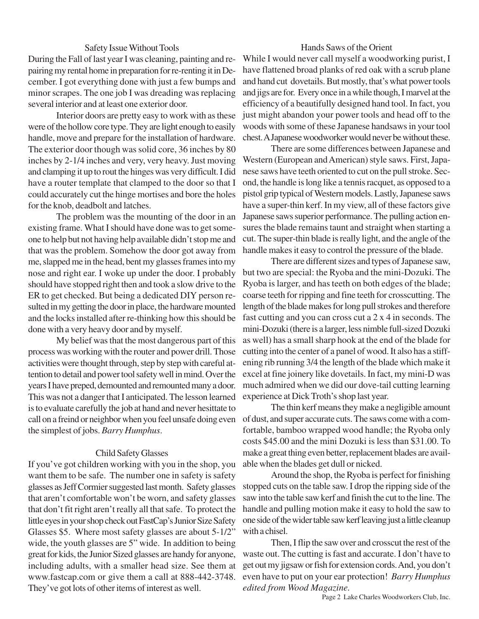#### Safety Issue Without Tools

During the Fall of last year I was cleaning, painting and repairing my rental home in preparation for re-renting it in December. I got everything done with just a few bumps and minor scrapes. The one job I was dreading was replacing several interior and at least one exterior door.

Interior doors are pretty easy to work with as these were of the hollow core type. They are light enough to easily handle, move and prepare for the installation of hardware. The exterior door though was solid core, 36 inches by 80 inches by 2-1/4 inches and very, very heavy. Just moving and clamping it up to rout the hinges was very difficult. I did have a router template that clamped to the door so that I could accurately cut the hinge mortises and bore the holes for the knob, deadbolt and latches.

The problem was the mounting of the door in an existing frame. What I should have done was to get someone to help but not having help available didn't stop me and that was the problem. Somehow the door got away from me, slapped me in the head, bent my glasses frames into my nose and right ear. I woke up under the door. I probably should have stopped right then and took a slow drive to the ER to get checked. But being a dedicated DIY person resulted in my getting the door in place, the hardware mounted and the locks installed after re-thinking how this should be done with a very heavy door and by myself.

My belief was that the most dangerous part of this process was working with the router and power drill. Those activities were thought through, step by step with careful attention to detail and power tool safety well in mind. Over the years I have preped, demounted and remounted many a door. This was not a danger that I anticipated. The lesson learned is to evaluate carefully the job at hand and never hesittate to call on a freind or neighbor when you feel unsafe doing even the simplest of jobs. *Barry Humphus*.

### Child Safety Glasses

If you've got children working with you in the shop, you want them to be safe. The number one in safety is safety glasses as Jeff Cormier suggested last month. Safety glasses that aren't comfortable won't be worn, and safety glasses that don't fit right aren't really all that safe. To protect the little eyes in your shop check out FastCap's Junior Size Safety Glasses \$5. Where most safety glasses are about 5-1/2" wide, the youth glasses are 5" wide. In addition to being great for kids, the Junior Sized glasses are handy for anyone, including adults, with a smaller head size. See them at www.fastcap.com or give them a call at 888-442-3748. They've got lots of other items of interest as well.

## Hands Saws of the Orient

While I would never call myself a woodworking purist, I have flattened broad planks of red oak with a scrub plane and hand cut dovetails. But mostly, that's what power tools and jigs are for. Every once in a while though, I marvel at the efficiency of a beautifully designed hand tool. In fact, you just might abandon your power tools and head off to the woods with some of these Japanese handsaws in your tool chest. A Japanese woodworker would never be without these.

There are some differences between Japanese and Western (European and American) style saws. First, Japanese saws have teeth oriented to cut on the pull stroke. Second, the handle is long like a tennis racquet, as opposed to a pistol grip typical of Western models. Lastly, Japanese saws have a super-thin kerf. In my view, all of these factors give Japanese saws superior performance. The pulling action ensures the blade remains taunt and straight when starting a cut. The super-thin blade is really light, and the angle of the handle makes it easy to control the pressure of the blade.

There are different sizes and types of Japanese saw, but two are special: the Ryoba and the mini-Dozuki. The Ryoba is larger, and has teeth on both edges of the blade; coarse teeth for ripping and fine teeth for crosscutting. The length of the blade makes for long pull strokes and therefore fast cutting and you can cross cut a 2 x 4 in seconds. The mini-Dozuki (there is a larger, less nimble full-sized Dozuki as well) has a small sharp hook at the end of the blade for cutting into the center of a panel of wood. It also has a stiffening rib running 3/4 the length of the blade which make it excel at fine joinery like dovetails. In fact, my mini-D was much admired when we did our dove-tail cutting learning experience at Dick Troth's shop last year.

The thin kerf means they make a negligible amount of dust, and super accurate cuts. The saws come with a comfortable, bamboo wrapped wood handle; the Ryoba only costs \$45.00 and the mini Dozuki is less than \$31.00. To make a great thing even better, replacement blades are available when the blades get dull or nicked.

Around the shop, the Ryoba is perfect for finishing stopped cuts on the table saw. I drop the ripping side of the saw into the table saw kerf and finish the cut to the line. The handle and pulling motion make it easy to hold the saw to one side of the wider table saw kerf leaving just a little cleanup with a chisel.

Then, I flip the saw over and crosscut the rest of the waste out. The cutting is fast and accurate. I don't have to get out my jigsaw or fish for extension cords. And, you don't even have to put on your ear protection! *Barry Humphus edited from Wood Magazine.*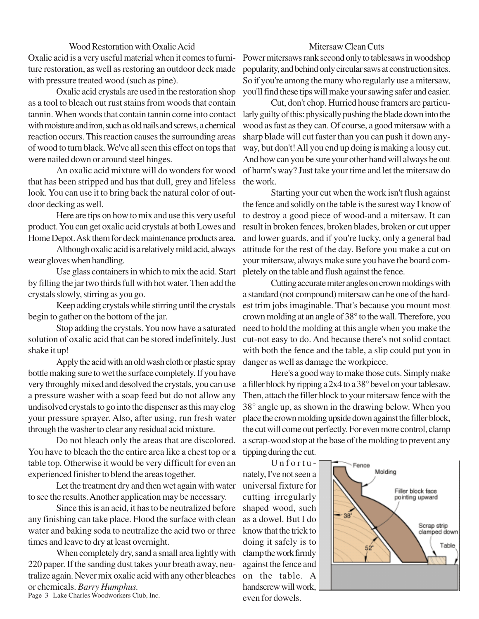### Wood Restoration with Oxalic Acid

Oxalic acid is a very useful material when it comes to furniture restoration, as well as restoring an outdoor deck made with pressure treated wood (such as pine).

Oxalic acid crystals are used in the restoration shop as a tool to bleach out rust stains from woods that contain tannin. When woods that contain tannin come into contact with moisture and iron, such as old nails and screws, a chemical reaction occurs. This reaction causes the surrounding areas of wood to turn black. We've all seen this effect on tops that were nailed down or around steel hinges.

An oxalic acid mixture will do wonders for wood that has been stripped and has that dull, grey and lifeless look. You can use it to bring back the natural color of outdoor decking as well.

Here are tips on how to mix and use this very useful product. You can get oxalic acid crystals at both Lowes and Home Depot. Ask them for deck maintenance products area.

Although oxalic acid is a relatively mild acid, always wear gloves when handling.

Use glass containers in which to mix the acid. Start by filling the jar two thirds full with hot water. Then add the crystals slowly, stirring as you go.

Keep adding crystals while stirring until the crystals begin to gather on the bottom of the jar.

Stop adding the crystals. You now have a saturated solution of oxalic acid that can be stored indefinitely. Just shake it up!

Apply the acid with an old wash cloth or plastic spray bottle making sure to wet the surface completely. If you have very throughly mixed and desolved the crystals, you can use a pressure washer with a soap feed but do not allow any undisolved crystals to go into the dispenser as this may clog your pressure sprayer. Also, after using, run fresh water through the washer to clear any residual acid mixture.

Do not bleach only the areas that are discolored. You have to bleach the the entire area like a chest top or a table top. Otherwise it would be very difficult for even an experienced finisher to blend the areas together.

Let the treatment dry and then wet again with water to see the results. Another application may be necessary.

Since this is an acid, it has to be neutralized before any finishing can take place. Flood the surface with clean water and baking soda to neutralize the acid two or three times and leave to dry at least overnight.

When completely dry, sand a small area lightly with 220 paper. If the sanding dust takes your breath away, neutralize again. Never mix oxalic acid with any other bleaches or chemicals. *Barry Humphus.*

Page 3 Lake Charles Woodworkers Club, Inc.

## Mitersaw Clean Cuts

Power mitersaws rank second only to tablesaws in woodshop popularity, and behind only circular saws at construction sites. So if you're among the many who regularly use a mitersaw, you'll find these tips will make your sawing safer and easier.

Cut, don't chop. Hurried house framers are particularly guilty of this: physically pushing the blade down into the wood as fast as they can. Of course, a good mitersaw with a sharp blade will cut faster than you can push it down anyway, but don't! All you end up doing is making a lousy cut. And how can you be sure your other hand will always be out of harm's way? Just take your time and let the mitersaw do the work.

Starting your cut when the work isn't flush against the fence and solidly on the table is the surest way I know of to destroy a good piece of wood-and a mitersaw. It can result in broken fences, broken blades, broken or cut upper and lower guards, and if you're lucky, only a general bad attitude for the rest of the day. Before you make a cut on your mitersaw, always make sure you have the board completely on the table and flush against the fence.

Cutting accurate miter angles on crown moldings with a standard (not compound) mitersaw can be one of the hardest trim jobs imaginable. That's because you mount most crown molding at an angle of 38° to the wall. Therefore, you need to hold the molding at this angle when you make the cut-not easy to do. And because there's not solid contact with both the fence and the table, a slip could put you in danger as well as damage the workpiece.

Here's a good way to make those cuts. Simply make a filler block by ripping a 2x4 to a 38° bevel on your tablesaw. Then, attach the filler block to your mitersaw fence with the 38° angle up, as shown in the drawing below. When you place the crown molding upside down against the filler block, the cut will come out perfectly. For even more control, clamp a scrap-wood stop at the base of the molding to prevent any tipping during the cut.

Unfortunately, I've not seen a universal fixture for cutting irregularly shaped wood, such as a dowel. But I do know that the trick to doing it safely is to clamp the work firmly against the fence and on the table. A handscrew will work, even for dowels.